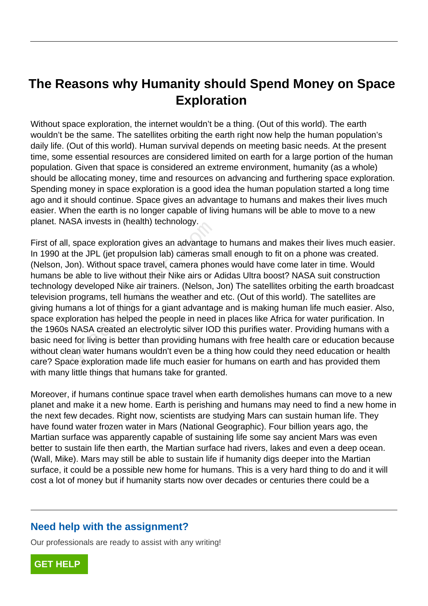## **The Reasons why Humanity should Spend Money on Space Exploration**

Without space exploration, the internet wouldn't be a thing. (Out of this world). The earth wouldn't be the same. The satellites orbiting the earth right now help the human population's daily life. (Out of this world). Human survival depends on meeting basic needs. At the present time, some essential resources are considered limited on earth for a large portion of the human population. Given that space is considered an extreme environment, humanity (as a whole) should be allocating money, time and resources on advancing and furthering space exploration. Spending money in space exploration is a good idea the human population started a long time ago and it should continue. Space gives an advantage to humans and makes their lives much easier. When the earth is no longer capable of living humans will be able to move to a new planet. NASA invests in (health) technology.

First of all, space exploration gives an advantage to humans and makes their lives much easier. In 1990 at the JPL (jet propulsion lab) cameras small enough to fit on a phone was created. (Nelson, Jon). Without space travel, camera phones would have come later in time. Would humans be able to live without their Nike airs or Adidas Ultra boost? NASA suit construction technology developed Nike air trainers. (Nelson, Jon) The satellites orbiting the earth broadcast television programs, tell humans the weather and etc. (Out of this world). The satellites are giving humans a lot of things for a giant advantage and is making human life much easier. Also, space exploration has helped the people in need in places like Africa for water purification. In the 1960s NASA created an electrolytic silver IOD this purifies water. Providing humans with a basic need for living is better than providing humans with free health care or education because without clean water humans wouldn't even be a thing how could they need education or health care? Space exploration made life much easier for humans on earth and has provided them with many little things that humans take for granted. SA invests in (nealtri) definitingly.<br>
space exploration gives an advantage<br>
the JPL (jet propulsion lab) cameras si<br>
on). Without space travel, camera phore<br>
a able to live without their Nike airs or  $\mu$ <br>
developed Nike

Moreover, if humans continue space travel when earth demolishes humans can move to a new planet and make it a new home. Earth is perishing and humans may need to find a new home in the next few decades. Right now, scientists are studying Mars can sustain human life. They have found water frozen water in Mars (National Geographic). Four billion years ago, the Martian surface was apparently capable of sustaining life some say ancient Mars was even better to sustain life then earth, the Martian surface had rivers, lakes and even a deep ocean. (Wall, Mike). Mars may still be able to sustain life if humanity digs deeper into the Martian surface, it could be a possible new home for humans. This is a very hard thing to do and it will cost a lot of money but if humanity starts now over decades or centuries there could be a

## **Need help with the assignment?**

Our professionals are ready to assist with any writing!

**[GET HELP](https://my.gradesfixer.com/order?utm_campaign=pdf_sample)**